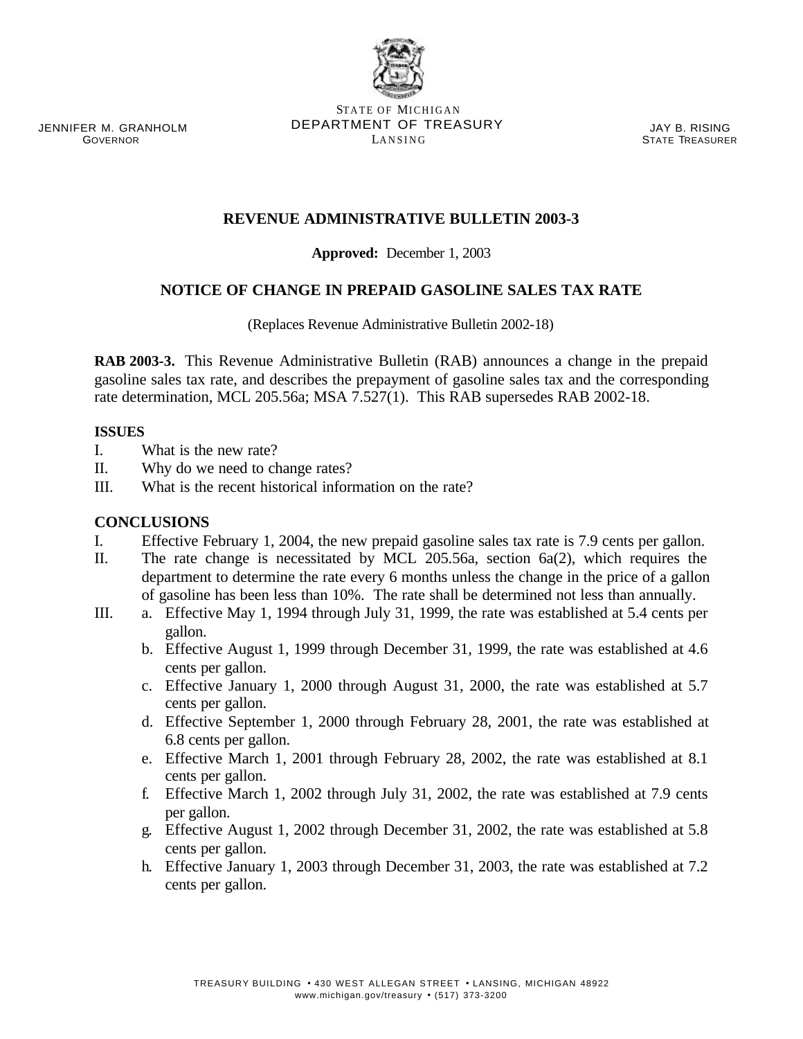JENNIFER M. GRANHOLM **GOVERNOR** 

STATE OF MICHIGAN DEPARTMENT OF TREASURY LANSING

JAY B. RISING STATE TREASURER

# **REVENUE ADMINISTRATIVE BULLETIN 2003-3**

# **Approved:** December 1, 2003

# **NOTICE OF CHANGE IN PREPAID GASOLINE SALES TAX RATE**

(Replaces Revenue Administrative Bulletin 2002-18)

**RAB 2003-3.** This Revenue Administrative Bulletin (RAB) announces a change in the prepaid gasoline sales tax rate, and describes the prepayment of gasoline sales tax and the corresponding rate determination, MCL 205.56a; MSA 7.527(1). This RAB supersedes RAB 2002-18.

#### **ISSUES**

- I. What is the new rate?
- II. Why do we need to change rates?
- III. What is the recent historical information on the rate?

# **CONCLUSIONS**

- I. Effective February 1, 2004, the new prepaid gasoline sales tax rate is 7.9 cents per gallon.
- II. The rate change is necessitated by MCL 205.56a, section 6a(2), which requires the department to determine the rate every 6 months unless the change in the price of a gallon of gasoline has been less than 10%. The rate shall be determined not less than annually.
- III. a. Effective May 1, 1994 through July 31, 1999, the rate was established at 5.4 cents per gallon.
	- b. Effective August 1, 1999 through December 31, 1999, the rate was established at 4.6 cents per gallon.
	- c. Effective January 1, 2000 through August 31, 2000, the rate was established at 5.7 cents per gallon.
	- d. Effective September 1, 2000 through February 28, 2001, the rate was established at 6.8 cents per gallon.
	- e. Effective March 1, 2001 through February 28, 2002, the rate was established at 8.1 cents per gallon.
	- f. Effective March 1, 2002 through July 31, 2002, the rate was established at 7.9 cents per gallon.
	- g. Effective August 1, 2002 through December 31, 2002, the rate was established at 5.8 cents per gallon.
	- h. Effective January 1, 2003 through December 31, 2003, the rate was established at 7.2 cents per gallon.